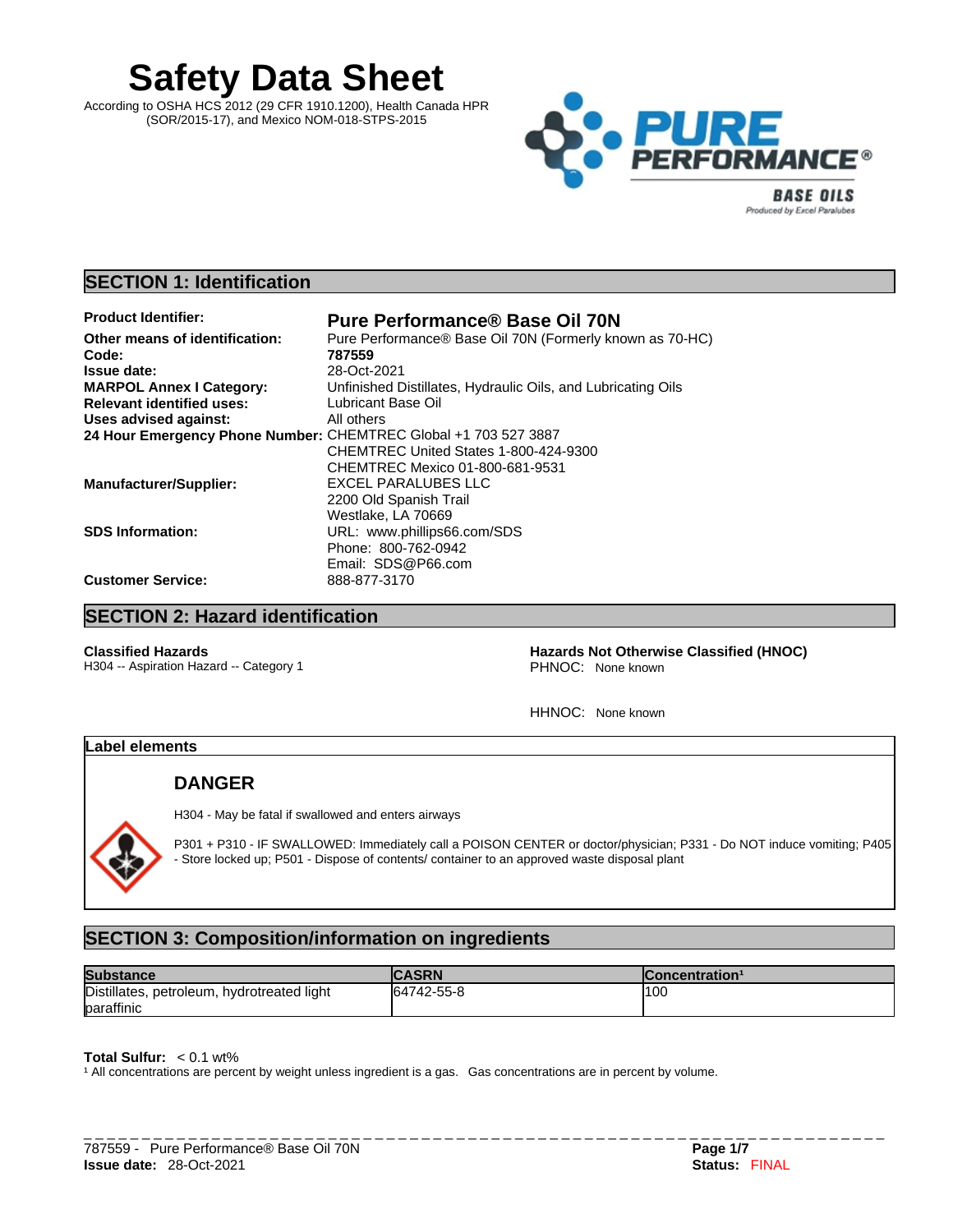# **Safety Data Sheet**

According to OSHA HCS 2012 (29 CFR 1910.1200), Health Canada HPR (SOR/2015-17), and Mexico NOM-018-STPS-2015



# **SECTION 1: Identification**

| <b>Product Identifier:</b>                                      | <b>Pure Performance® Base Oil 70N</b>                        |
|-----------------------------------------------------------------|--------------------------------------------------------------|
| Other means of identification:                                  | Pure Performance® Base Oil 70N (Formerly known as 70-HC)     |
| Code:                                                           | 787559                                                       |
| <b>Issue date:</b>                                              | 28-Oct-2021                                                  |
| <b>MARPOL Annex I Category:</b>                                 | Unfinished Distillates, Hydraulic Oils, and Lubricating Oils |
| <b>Relevant identified uses:</b>                                | Lubricant Base Oil                                           |
| Uses advised against:                                           | All others                                                   |
| 24 Hour Emergency Phone Number: CHEMTREC Global +1 703 527 3887 |                                                              |
|                                                                 | CHEMTREC United States 1-800-424-9300                        |
|                                                                 | CHEMTREC Mexico 01-800-681-9531                              |
| <b>Manufacturer/Supplier:</b>                                   | EXCEL PARALUBES LLC                                          |
|                                                                 | 2200 Old Spanish Trail                                       |
|                                                                 | Westlake, LA 70669                                           |
| <b>SDS Information:</b>                                         | URL: www.phillips66.com/SDS                                  |
|                                                                 | Phone: 800-762-0942                                          |
|                                                                 | Email: SDS@P66.com                                           |
| <b>Customer Service:</b>                                        | 888-877-3170                                                 |

# **SECTION 2: Hazard identification**

H304 -- Aspiration Hazard -- Category 1

**Classified Hazards 1988**<br>
Hazards Not Otherwise Classified (HNOC)<br>
PHNOC: None known

HHNOC: None known

# **Label elements**

# **DANGER**

H304 - May be fatal if swallowed and enters airways

P301 + P310 - IF SWALLOWED: Immediately call a POISON CENTER or doctor/physician; P331 - Do NOT induce vomiting; P405 - Store locked up; P501 - Dispose of contents/ container to an approved waste disposal plant

# **SECTION 3: Composition/information on ingredients**

| <b>Substance</b>                           | <b>CASRN</b> | Concentration <sup>1</sup> |
|--------------------------------------------|--------------|----------------------------|
| Distillates, petroleum, hydrotreated light | 64742-55-8   | 1100                       |
| paraffinic                                 |              |                            |

**Total Sulfur:**  $< 0.1$  wt%

<sup>1</sup> All concentrations are percent by weight unless ingredient is a gas. Gas concentrations are in percent by volume.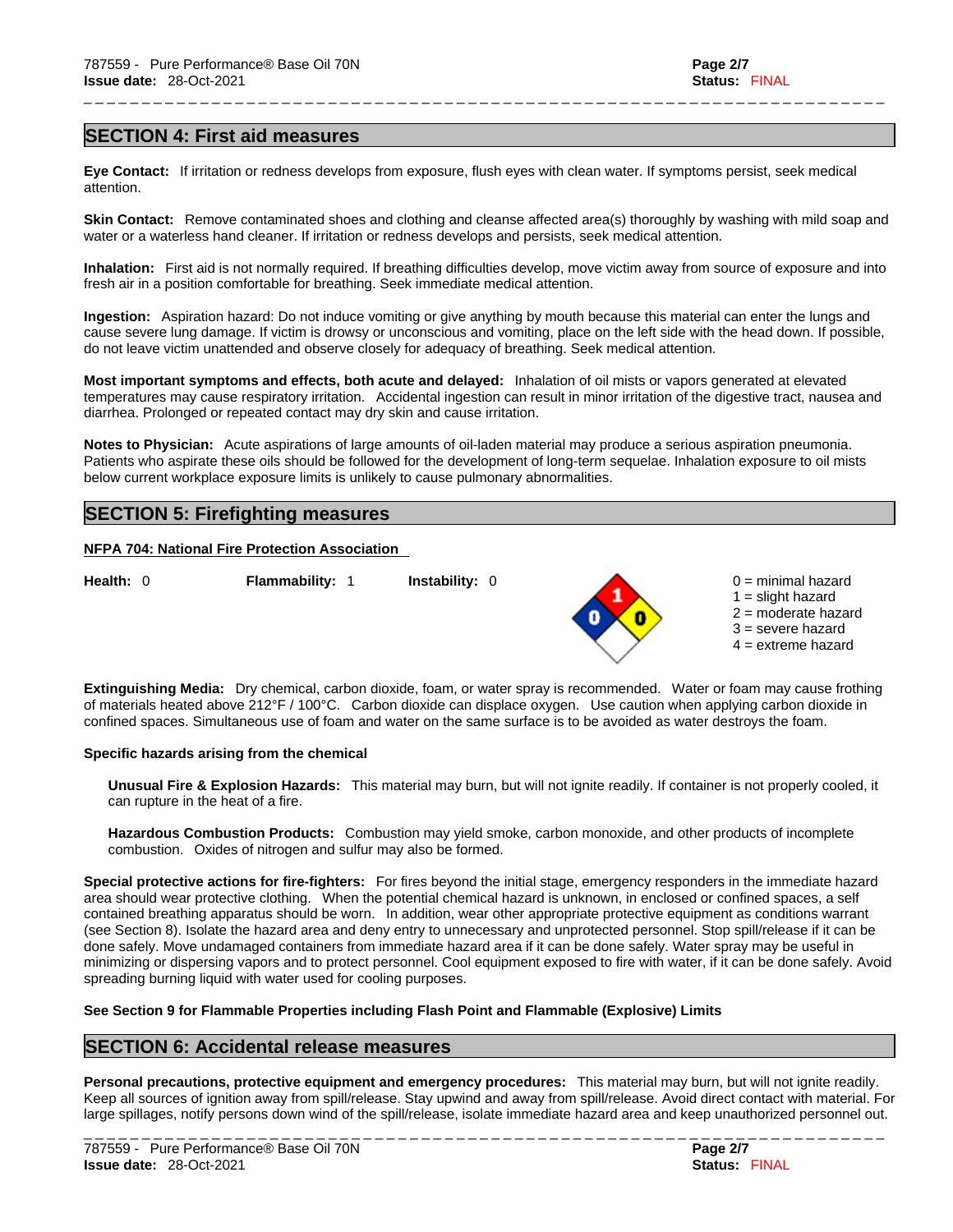# **SECTION 4: First aid measures**

**Eye Contact:** If irritation or redness develops from exposure, flush eyes with clean water. If symptoms persist, seek medical attention.

**Skin Contact:** Remove contaminated shoes and clothing and cleanse affected area(s) thoroughly by washing with mild soap and water or a waterless hand cleaner. If irritation or redness develops and persists, seek medical attention.

\_ \_ \_ \_ \_ \_ \_ \_ \_ \_ \_ \_ \_ \_ \_ \_ \_ \_ \_ \_ \_ \_ \_ \_ \_ \_ \_ \_ \_ \_ \_ \_ \_ \_ \_ \_ \_ \_ \_ \_ \_ \_ \_ \_ \_ \_ \_ \_ \_ \_ \_ \_ \_ \_ \_ \_ \_ \_ \_ \_ \_ \_ \_ \_ \_ \_ \_ \_ \_

**Inhalation:** First aid isnot normally required.If breathing difficulties develop, move victim away from source of exposure and into fresh air in a position comfortable for breathing. Seek immediate medical attention.

**Ingestion:** Aspiration hazard: Do not induce vomiting or give anything by mouth because this material can enter the lungs and cause severe lung damage. If victim is drowsy or unconscious and vomiting, place on the left side with the head down. If possible, do not leave victim unattended and observe closely for adequacy of breathing. Seek medical attention.

**Most important symptoms and effects, both acute and delayed:** Inhalation of oil mists or vapors generated at elevated temperatures may cause respiratory irritation. Accidental ingestion can result in minor irritation of the digestive tract, nausea and diarrhea. Prolonged or repeated contact may dry skin and cause irritation.

**Notes to Physician:** Acute aspirations of large amounts of oil-laden material may produce a serious aspiration pneumonia. Patients who aspirate these oils should be followed for the development of long-term sequelae. Inhalation exposure to oil mists below current workplace exposure limits is unlikely to cause pulmonary abnormalities.

# **SECTION 5: Firefighting measures**

# **NFPA 704: National Fire Protection Association**

**Health:** 0 **Flammability:** 1 **Instability:** 0 0 = minimal hazard



- $1 =$  slight hazard
- 2 = moderate hazard  $3$  = severe hazard
- $4 =$  extreme hazard
- 

**Extinguishing Media:** Dry chemical, carbon dioxide, foam, or water spray is recommended. Water or foam may cause frothing of materials heated above 212°F / 100°C. Carbon dioxide can displace oxygen. Use caution when applying carbon dioxide in confined spaces. Simultaneous use of foam and water on the same surface is to be avoided as water destroys the foam.

#### **Specific hazards arising from the chemical**

**Unusual Fire & Explosion Hazards:** This material may burn, butwill not ignite readily. If container is not properly cooled, it can rupture in the heat of a fire.

**Hazardous Combustion Products:** Combustion may yield smoke, carbon monoxide, and other products of incomplete combustion. Oxides of nitrogen and sulfur may also be formed.

**Special protective actions for fire-fighters:** For fires beyond the initial stage, emergency responders in the immediate hazard area should wear protective clothing. When the potential chemical hazard is unknown, in enclosed or confined spaces, a self contained breathing apparatus should be worn. In addition, wear other appropriate protective equipment as conditions warrant (see Section 8). Isolate the hazard area and deny entry to unnecessary and unprotected personnel. Stop spill/release if it can be done safely. Move undamaged containers from immediate hazard area if it can be done safely. Water spray may be useful in minimizing or dispersing vapors and to protect personnel. Cool equipment exposed to fire with water, if it can be done safely. Avoid spreading burning liquid with water used for cooling purposes.

# **See Section 9 for Flammable Properties including Flash Point and Flammable (Explosive) Limits**

# **SECTION 6: Accidental release measures**

**Personal precautions, protective equipment and emergency procedures:** This material may burn, butwill not ignite readily. Keep all sources of ignition away from spill/release. Stay upwind and away from spill/release. Avoid direct contact with material. For large spillages, notify persons down wind of the spill/release, isolate immediate hazard area and keep unauthorized personnel out.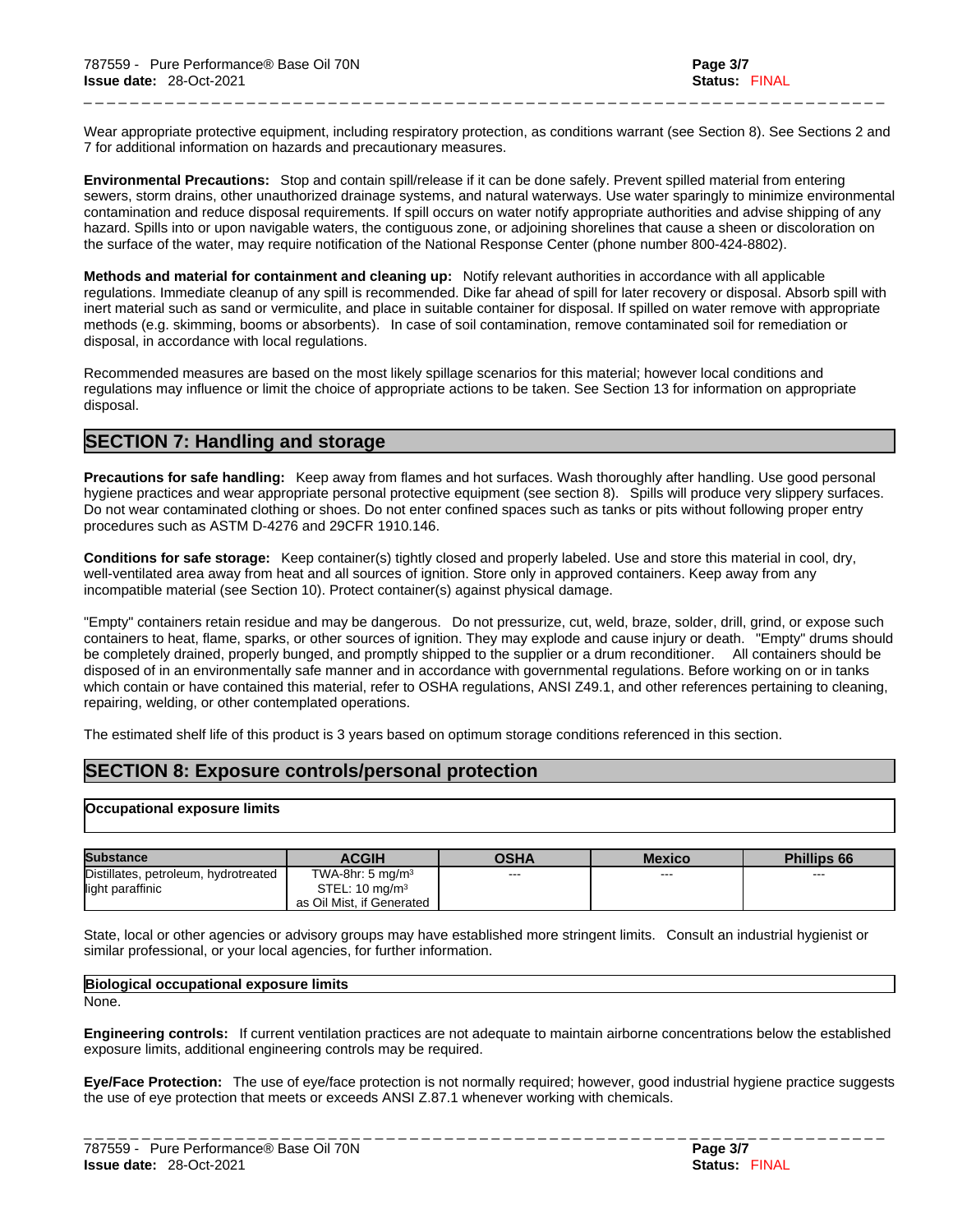Wear appropriate protective equipment, including respiratory protection, as conditions warrant (see Section 8). See Sections 2 and 7 for additional information on hazards and precautionary measures.

\_ \_ \_ \_ \_ \_ \_ \_ \_ \_ \_ \_ \_ \_ \_ \_ \_ \_ \_ \_ \_ \_ \_ \_ \_ \_ \_ \_ \_ \_ \_ \_ \_ \_ \_ \_ \_ \_ \_ \_ \_ \_ \_ \_ \_ \_ \_ \_ \_ \_ \_ \_ \_ \_ \_ \_ \_ \_ \_ \_ \_ \_ \_ \_ \_ \_ \_ \_ \_

**Environmental Precautions:** Stop and contain spill/release if it can be done safely. Prevent spilled material from entering sewers, storm drains, other unauthorized drainage systems, and natural waterways. Use water sparingly to minimize environmental contamination and reduce disposal requirements. If spill occurs on water notify appropriate authorities and advise shipping of any hazard. Spills into or upon navigable waters, the contiguous zone, or adjoining shorelines that cause a sheen or discoloration on the surface of the water, may require notification of the National Response Center (phone number 800-424-8802).

**Methods and material for containment and cleaning up:** Notify relevant authorities in accordance with all applicable regulations. Immediate cleanup of any spill is recommended. Dike far ahead of spill for later recovery or disposal. Absorb spill with inert material such as sand or vermiculite, and place in suitable container for disposal. If spilled on water remove with appropriate methods (e.g. skimming, booms or absorbents). In case of soil contamination, remove contaminated soil for remediation or disposal, in accordance with local regulations.

Recommended measures are based on the most likely spillage scenarios for this material; however local conditions and regulations may influence or limit the choice of appropriate actions to be taken. See Section 13 for information on appropriate disposal.

# **SECTION 7: Handling and storage**

**Precautions for safe handling:** Keep away from flames and hot surfaces. Wash thoroughly after handling. Use good personal hygiene practices and wear appropriate personal protective equipment (see section 8). Spills will produce very slippery surfaces. Do not wear contaminated clothing or shoes. Do not enter confined spaces such as tanks or pits without following proper entry procedures such as ASTM D-4276 and 29CFR 1910.146.

**Conditions for safe storage:** Keep container(s) tightly closed and properly labeled. Use and store this material in cool, dry, well-ventilated area away from heat and all sources of ignition. Store only in approved containers. Keep away from any incompatible material (see Section 10). Protect container(s) against physical damage.

"Empty" containers retain residue and may be dangerous. Do not pressurize, cut, weld, braze, solder, drill, grind, or expose such containers to heat, flame, sparks, or other sources of ignition. They may explode and cause injury or death."Empty" drums should be completely drained, properly bunged, and promptly shipped to the supplier or a drum reconditioner. All containers should be disposed of in an environmentally safe manner and in accordance with governmental regulations. Before working on or in tanks which contain or have contained this material, refer to OSHA regulations, ANSI Z49.1, and other references pertaining to cleaning, repairing, welding, or other contemplated operations.

The estimated shelf life of this product is 3 years based on optimum storage conditions referenced in this section.

# **SECTION 8: Exposure controls/personal protection**

# **Occupational exposure limits**

| <b>Substance</b>                     | <b>ACGIH</b>                 | OSHA    | Mexico | <b>Phillips 66</b> |
|--------------------------------------|------------------------------|---------|--------|--------------------|
| Distillates, petroleum, hydrotreated | TWA-8hr: 5 mg/m <sup>3</sup> | $- - -$ | $---$  | $\sim$             |
| light paraffinic                     | STEL: $10 \text{ mg/m}^3$    |         |        |                    |
|                                      | as Oil Mist, if Generated    |         |        |                    |

State, local or other agencies or advisory groups may have established more stringent limits. Consult an industrial hygienist or similar professional, or your local agencies, for further information.

| Biological occupational exposure limits |  |
|-----------------------------------------|--|
| None.                                   |  |

**Engineering controls:** If current ventilation practices are not adequate to maintain airborne concentrations below the established exposure limits, additional engineering controls may be required.

**Eye/Face Protection:** The use of eye/face protection is not normally required; however, good industrial hygiene practice suggests the use of eye protection that meets or exceeds ANSI Z.87.1 whenever working with chemicals.

| 787559 -<br>Pure Performance® Base Oil 70N | Page 3/7                |
|--------------------------------------------|-------------------------|
| 28-Oct-2021<br><b>Issue date:</b>          | Status:<br><b>FINAL</b> |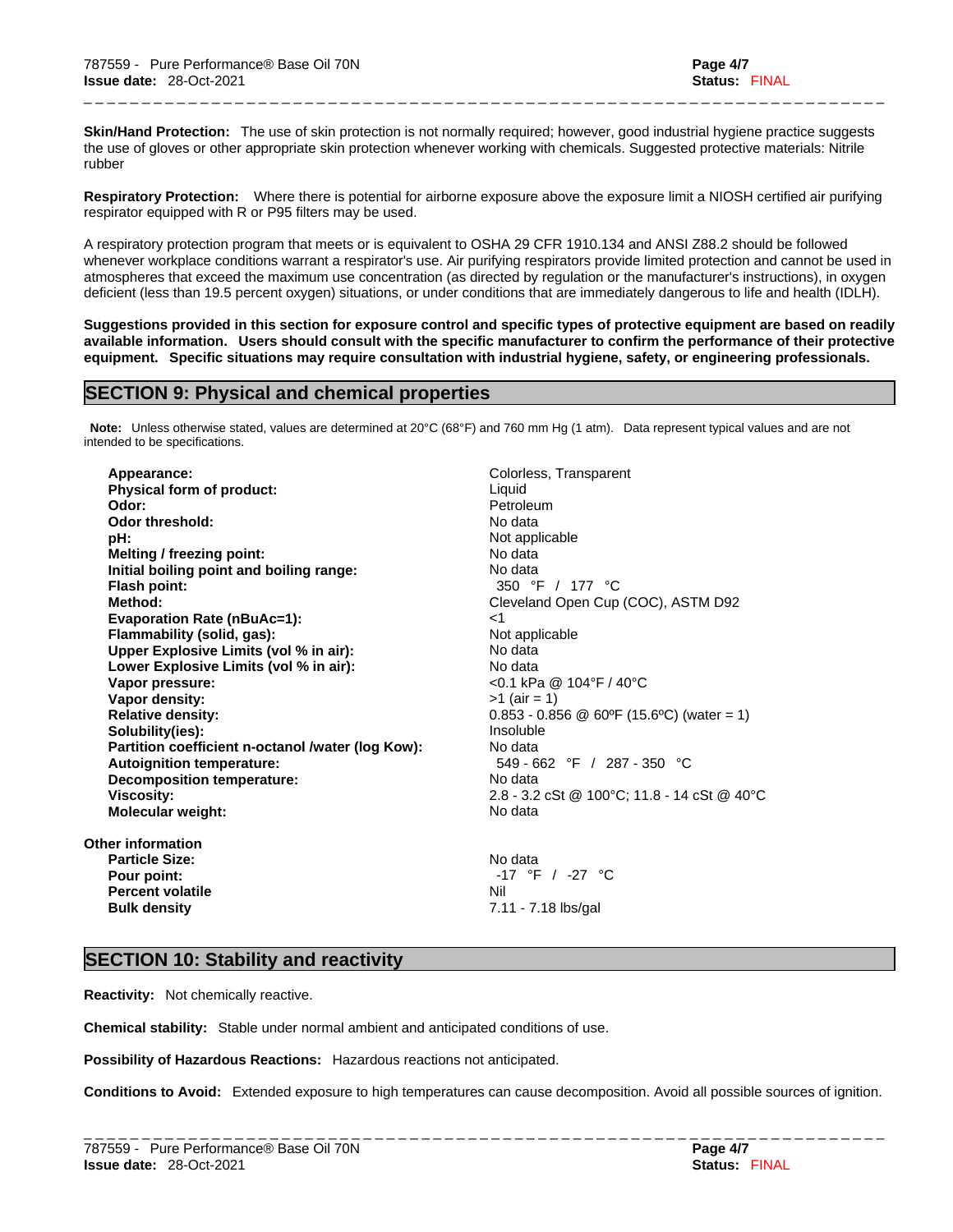**Skin/Hand Protection:** The use of skin protection is not normally required; however, good industrial hygiene practice suggests the use of gloves or other appropriate skin protection whenever working with chemicals. Suggested protective materials: Nitrile rubber

\_ \_ \_ \_ \_ \_ \_ \_ \_ \_ \_ \_ \_ \_ \_ \_ \_ \_ \_ \_ \_ \_ \_ \_ \_ \_ \_ \_ \_ \_ \_ \_ \_ \_ \_ \_ \_ \_ \_ \_ \_ \_ \_ \_ \_ \_ \_ \_ \_ \_ \_ \_ \_ \_ \_ \_ \_ \_ \_ \_ \_ \_ \_ \_ \_ \_ \_ \_ \_

**Respiratory Protection:** Where there is potential for airborne exposure above the exposure limit a NIOSH certified air purifying respirator equipped with R or P95 filters may be used.

A respiratory protection program that meets or is equivalent to OSHA 29 CFR 1910.134 and ANSI Z88.2 should be followed whenever workplace conditions warrant a respirator's use. Air purifying respirators provide limited protection and cannot be used in atmospheres that exceed the maximum use concentration (as directed by regulation or the manufacturer's instructions), in oxygen deficient (less than 19.5 percent oxygen) situations, or under conditions that are immediately dangerous to life and health (IDLH).

Suggestions provided in this section for exposure control and specific types of protective equipment are based on readily available information. Users should consult with the specific manufacturer to confirm the performance of their protective **equipment. Specific situations may require consultation with industrial hygiene, safety, or engineering professionals.**

# **SECTION 9: Physical and chemical properties**

**Note:** Unless otherwise stated, values are determined at 20°C (68°F) and 760 mm Hg (1 atm). Data represent typical values and are not intended to be specifications.

**Appearance: Colorless, Transparent Physical form of product:** Liquid **Odor:** Petroleum<br> **Petroleum Odor threshold:** Petroleum **Petroleum Petroleum Petroleum Odor threshold: pH:** Not applicable **Melting / freezing point:** No data **Initial boiling point and boiling range:** No data **Flash point:** 350 °F / 177 °C **Method:** Cleveland Open Cup (COC), ASTM D92 **Evaporation Rate (nBuAc=1):** <1 **Flammability (solid, gas):** Not applicable **Upper Explosive Limits (vol% in air):** No data **Lower Explosive Limits (vol% in air):** No data **Vapor density:**  $>1$  (air = 1) **Relative density:** 0.853 - 0.856 @ 60ºF (15.6ºC) (water = 1) **Solubility(ies):** Insoluble **Partition coefficient n-octanol /water (log Kow):** No data **Autoignition temperature:** 549 - 662 °F / 287 - 350 °C **Decomposition temperature:** No data **Viscosity:** 2.8 - 3.2 cSt @ 100°C; 11.8 - 14 cSt @ 40°C **Molecular weight:** No data

**Other information Particle Size:** No data **Percent volatile** Nil

**Vapor pressure:** <0.1 kPa @ 104°F / 40°C

**Pour point:** -17 °F / -27 °C **Bulk density** 7.11 - 7.18 lbs/gal

# **SECTION 10: Stability and reactivity**

**Reactivity:** Not chemically reactive.

**Chemical stability:** Stable under normal ambient and anticipated conditions of use.

**Possibility of Hazardous Reactions:** Hazardous reactions not anticipated.

**Conditions to Avoid:** Extended exposure to high temperatures can cause decomposition. Avoid all possible sources of ignition.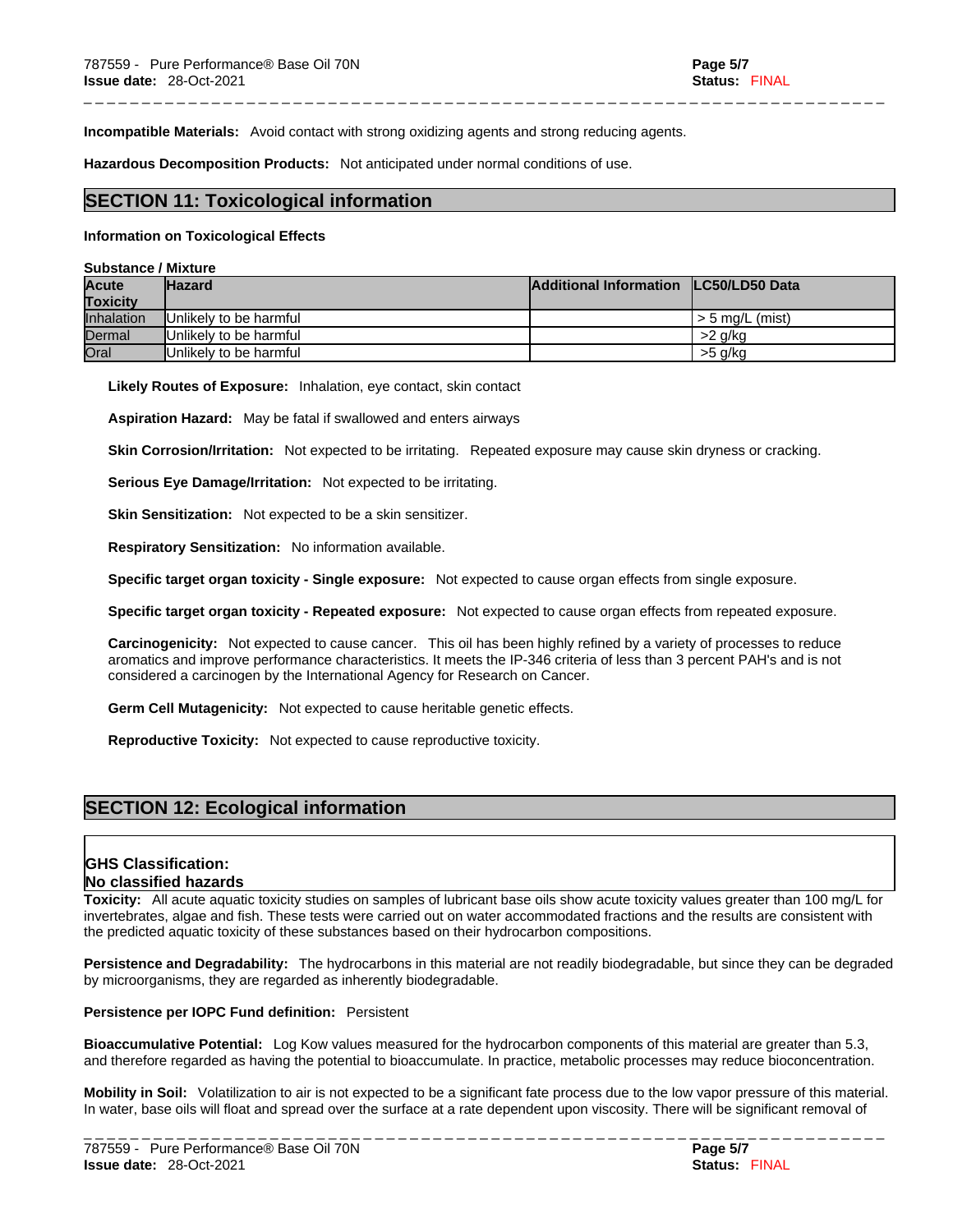**Incompatible Materials:** Avoid contact with strong oxidizing agents and strong reducing agents.

**Hazardous Decomposition Products:** Not anticipated under normal conditions of use.

# **SECTION 11: Toxicological information**

#### **Information on Toxicological Effects**

#### **Substance / Mixture**

| <b>Acute</b><br><b>Toxicity</b> | <b>Hazard</b>          | Additional Information ILC50/LD50 Data |                   |
|---------------------------------|------------------------|----------------------------------------|-------------------|
| <b>Inhalation</b>               | Unlikely to be harmful |                                        | l > 5 ma/L (mist) |
| Dermal                          | Unlikely to be harmful |                                        | >2 a/ka           |
| Oral                            | Unlikely to be harmful |                                        | >5 a/ka           |

\_ \_ \_ \_ \_ \_ \_ \_ \_ \_ \_ \_ \_ \_ \_ \_ \_ \_ \_ \_ \_ \_ \_ \_ \_ \_ \_ \_ \_ \_ \_ \_ \_ \_ \_ \_ \_ \_ \_ \_ \_ \_ \_ \_ \_ \_ \_ \_ \_ \_ \_ \_ \_ \_ \_ \_ \_ \_ \_ \_ \_ \_ \_ \_ \_ \_ \_ \_ \_

**Likely Routes of Exposure:** Inhalation, eye contact, skin contact

**Aspiration Hazard:** May be fatal if swallowed and enters airways

**Skin Corrosion/Irritation:** Not expected to be irritating. Repeated exposure may cause skin dryness or cracking.

**Serious Eye Damage/Irritation:** Not expected to be irritating.

**Skin Sensitization:** Not expected to be a skin sensitizer.

**Respiratory Sensitization:** No information available.

**Specific target organ toxicity - Single exposure:** Not expected to cause organ effects from single exposure.

**Specific target organ toxicity - Repeated exposure:** Not expected to cause organ effects from repeated exposure.

**Carcinogenicity:** Not expected to cause cancer. This oil has been highly refined by a variety of processes to reduce aromatics and improve performance characteristics. It meets the IP-346 criteria of less than 3 percent PAH's and is not considered a carcinogen by the International Agency for Research on Cancer.

**Germ Cell Mutagenicity:** Not expected to cause heritable genetic effects.

**Reproductive Toxicity:** Not expected to cause reproductive toxicity.

# **SECTION 12: Ecological information**

# **GHS Classification: No classified hazards**

**Toxicity:** All acute aquatic toxicity studies on samples of lubricant base oils show acute toxicity values greater than 100 mg/L for invertebrates, algae and fish. These tests were carried out on water accommodated fractions and the results are consistent with the predicted aquatic toxicity of these substances based on their hydrocarbon compositions.

**Persistence and Degradability:** The hydrocarbons in this material are not readily biodegradable, but since they can be degraded by microorganisms, they are regarded as inherently biodegradable.

# **Persistence per IOPC Fund definition:** Persistent

**Bioaccumulative Potential:** Log Kow values measured for the hydrocarbon components of this material are greater than 5.3, and therefore regarded as having the potential to bioaccumulate. In practice, metabolic processes may reduce bioconcentration.

**Mobility in Soil:** Volatilization to air is not expected to be a significant fate process due to the low vapor pressure of this material. In water, base oils will float and spread over the surface at a rate dependent upon viscosity. There will be significant removal of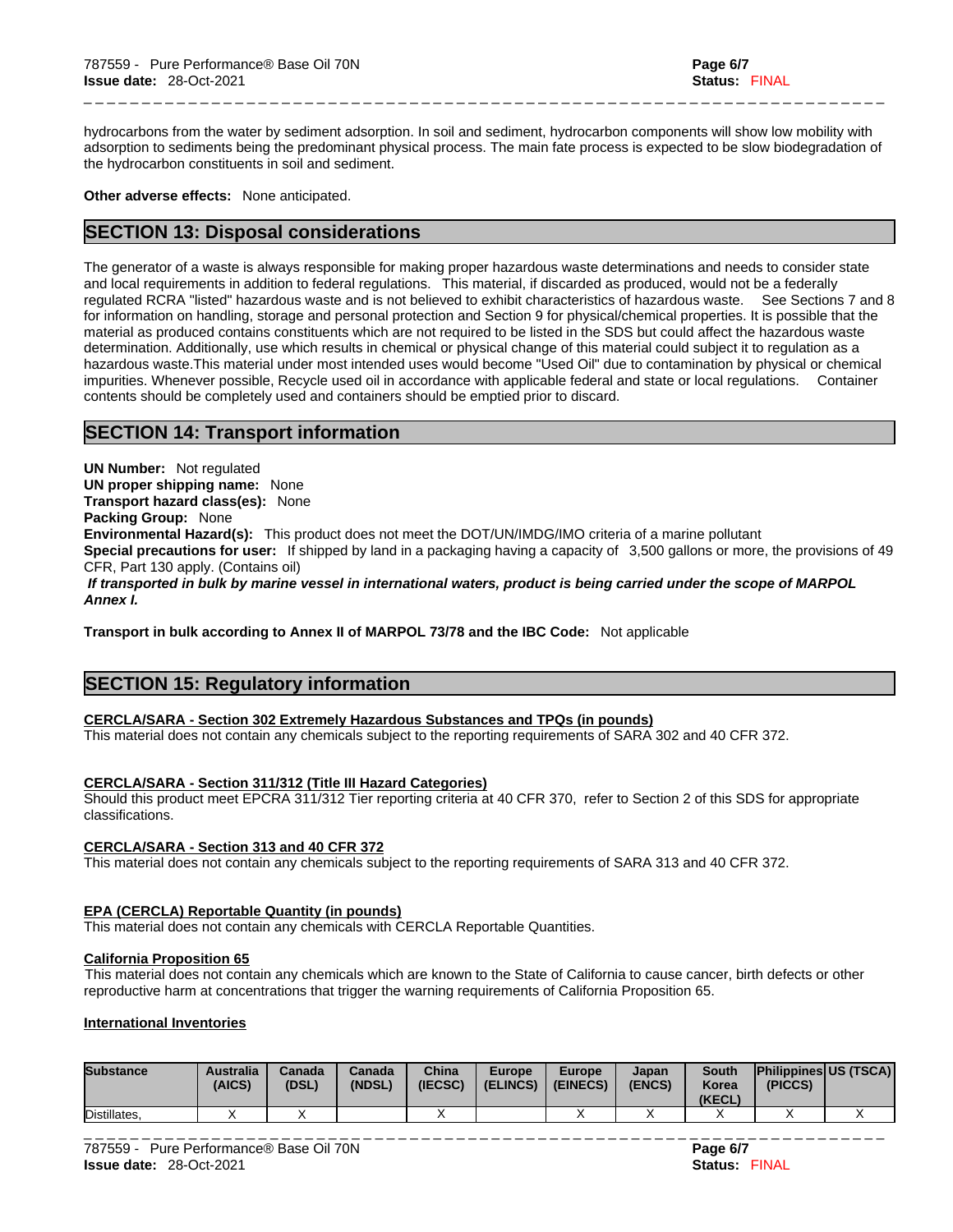hydrocarbons from the water by sediment adsorption. In soil and sediment, hydrocarbon components will show low mobility with adsorption to sediments being the predominant physical process. The main fate process is expected to be slow biodegradation of the hydrocarbon constituents in soil and sediment.

\_ \_ \_ \_ \_ \_ \_ \_ \_ \_ \_ \_ \_ \_ \_ \_ \_ \_ \_ \_ \_ \_ \_ \_ \_ \_ \_ \_ \_ \_ \_ \_ \_ \_ \_ \_ \_ \_ \_ \_ \_ \_ \_ \_ \_ \_ \_ \_ \_ \_ \_ \_ \_ \_ \_ \_ \_ \_ \_ \_ \_ \_ \_ \_ \_ \_ \_ \_ \_

**Other adverse effects:** None anticipated.

# **SECTION 13: Disposal considerations**

The generator of a waste is always responsible for making proper hazardous waste determinations and needs to consider state and local requirements in addition to federal regulations. This material, if discarded as produced, would not be a federally regulated RCRA "listed" hazardous waste and is not believed to exhibit characteristics of hazardous waste. See Sections 7 and 8 for information on handling, storage and personal protection and Section 9 for physical/chemical properties. It is possible that the material as produced contains constituents which are not required to be listed in the SDS but could affect the hazardous waste determination. Additionally, use which results in chemical or physical change of this material could subject it to regulation as a hazardous waste.This material under most intended uses would become "Used Oil" due to contamination by physical or chemical impurities. Whenever possible, Recycle used oil in accordance with applicable federal and state or local regulations. Container contents should be completely used and containers should be emptied prior to discard.

# **SECTION 14: Transport information**

**UN Number:** Not regulated **UN proper shipping name:** None **Transport hazard class(es):** None **Packing Group:** None **Environmental Hazard(s):** This product does not meet the DOT/UN/IMDG/IMO criteria of a marine pollutant **Special precautions for user:** If shipped by land in a packaging having a capacity of 3,500 gallons or more, the provisions of 49 CFR, Part 130 apply. (Contains oil)  *If transported in bulk by marine vessel in international waters, product is being carried under the scope of MARPOL Annex I.*

**Transport in bulk according to Annex II of MARPOL 73/78 and the IBC Code:** Not applicable

# **SECTION 15: Regulatory information**

# **CERCLA/SARA - Section 302 Extremely Hazardous Substances and TPQs (in pounds)**

This material does not contain any chemicals subject to the reporting requirements of SARA 302 and 40 CFR 372.

# **CERCLA/SARA - Section 311/312 (Title III Hazard Categories)**

Should this product meet EPCRA 311/312 Tier reporting criteria at 40 CFR 370, refer to Section 2 of this SDS for appropriate classifications.

# **CERCLA/SARA - Section 313 and 40 CFR 372**

This material does not contain any chemicals subject to the reporting requirements of SARA 313 and 40 CFR 372.

# **EPA (CERCLA) Reportable Quantity (in pounds)**

This material does not contain any chemicals with CERCLA Reportable Quantities.

# **California Proposition 65**

This material does not contain any chemicals which are known to the State of California to cause cancer, birth defects or other reproductive harm at concentrations that trigger the warning requirements of California Proposition 65.

# **International Inventories**

| <b>Substance</b> | <b>Australia</b><br>(AICS) | Canada<br>(DSL) | <b>Canada</b><br>(NDSL) | China<br>(IECSC) | <b>Europe</b><br>(ELINCS) | <b>Europe</b><br>(EINECS) | Japan<br>(ENCS) | <b>South</b><br>Korea<br>(KECL) | <b>Philippines US (TSCA)</b><br>(PICCS) |           |
|------------------|----------------------------|-----------------|-------------------------|------------------|---------------------------|---------------------------|-----------------|---------------------------------|-----------------------------------------|-----------|
| Distillates.     |                            |                 |                         |                  |                           |                           |                 |                                 | $\lambda$                               | $\lambda$ |